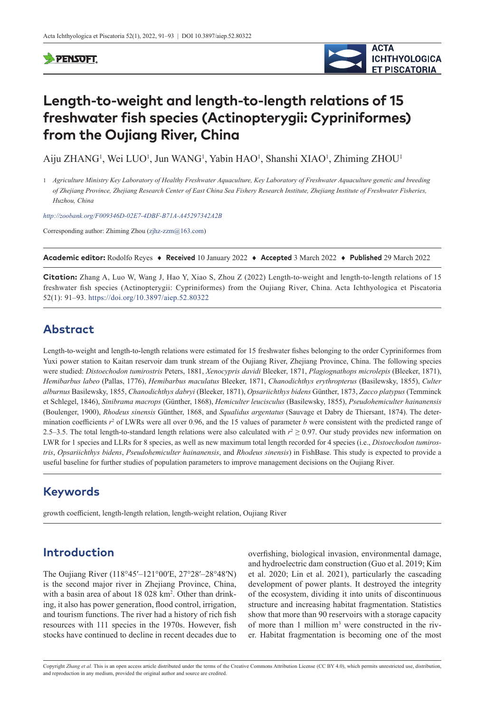#### **SPENSOFT**



# **Length-to-weight and length-to-length relations of 15 freshwater fish species (Actinopterygii: Cypriniformes) from the Oujiang River, China**

Aiju ZHANG<sup>1</sup>, Wei LUO<sup>1</sup>, Jun WANG<sup>1</sup>, Yabin HAO<sup>1</sup>, Shanshi XIAO<sup>1</sup>, Zhiming ZHOU<sup>1</sup>

1 *Agriculture Ministry Key Laboratory of Healthy Freshwater Aquaculture, Key Laboratory of Freshwater Aquaculture genetic and breeding of Zhejiang Province, Zhejiang Research Center of East China Sea Fishery Research Institute, Zhejiang Institute of Freshwater Fisheries, Huzhou, China*

*<http://zoobank.org/F009346D-02E7-4DBF-B71A-A45297342A2B>*

Corresponding author: Zhiming Zhou [\(zjhz-zzm@163.com\)](mailto:zjhz-zzm@163.com)

**Academic editor:** Rodolfo Reyes ♦ **Received** 10 January 2022 ♦ **Accepted** 3 March 2022 ♦ **Published** 29 March 2022

**Citation:** Zhang A, Luo W, Wang J, Hao Y, Xiao S, Zhou Z (2022) Length-to-weight and length-to-length relations of 15 freshwater fish species (Actinopterygii: Cypriniformes) from the Oujiang River, China. Acta Ichthyologica et Piscatoria 52(1): 91–93.<https://doi.org/10.3897/aiep.52.80322>

# **Abstract**

Length-to-weight and length-to-length relations were estimated for 15 freshwater fishes belonging to the order Cypriniformes from Yuxi power station to Kaitan reservoir dam trunk stream of the Oujiang River, Zhejiang Province, China. The following species were studied: *Distoechodon tumirostris* Peters, 1881, *Xenocypris davidi* Bleeker, 1871, *Plagiognathops microlepis* (Bleeker, 1871), *Hemibarbus labeo* (Pallas, 1776), *Hemibarbus maculatus* Bleeker, 1871, *Chanodichthys erythropterus* (Basilewsky, 1855), *Culter alburnus* Basilewsky, 1855, *Chanodichthys dabryi* (Bleeker, 1871), *Opsariichthys bidens* Günther, 1873, *Zacco platypus* (Temminck et Schlegel, 1846), *Sinibrama macrops* (Günther, 1868), *Hemiculter leucisculus* (Basilewsky, 1855), *Pseudohemiculter hainanensis* (Boulenger, 1900), *Rhodeus sinensis* Günther, 1868, and *Squalidus argentatus* (Sauvage et Dabry de Thiersant, 1874). The determination coefficients  $r^2$  of LWRs were all over 0.96, and the 15 values of parameter *b* were consistent with the predicted range of 2.5–3.5. The total length-to-standard length relations were also calculated with  $r^2 \ge 0.97$ . Our study provides new information on LWR for 1 species and LLRs for 8 species, as well as new maximum total length recorded for 4 species (i.e., *Distoechodon tumirostris*, *Opsariichthys bidens*, *Pseudohemiculter hainanensis*, and *Rhodeus sinensis*) in FishBase. This study is expected to provide a useful baseline for further studies of population parameters to improve management decisions on the Oujiang River.

# **Keywords**

growth coefficient, length-length relation, length-weight relation, Oujiang River

# **Introduction**

The Oujiang River (118°45′–121°00′E, 27°28′–28°48′N) is the second major river in Zhejiang Province, China, with a basin area of about 18 028 km<sup>2</sup>. Other than drinking, it also has power generation, flood control, irrigation, and tourism functions. The river had a history of rich fish resources with 111 species in the 1970s. However, fish stocks have continued to decline in recent decades due to overfishing, biological invasion, environmental damage, and hydroelectric dam construction (Guo et al. 2019; Kim et al. 2020; Lin et al. 2021), particularly the cascading development of power plants. It destroyed the integrity of the ecosystem, dividing it into units of discontinuous structure and increasing habitat fragmentation. Statistics show that more than 90 reservoirs with a storage capacity of more than  $1$  million  $m<sup>3</sup>$  were constructed in the river. Habitat fragmentation is becoming one of the most

Copyright *Zhang et al.* This is an open access article distributed under the terms of the [Creative Commons Attribution License \(CC BY 4.0\)](http://creativecommons.org/licenses/by/4.0/), which permits unrestricted use, distribution, and reproduction in any medium, provided the original author and source are credited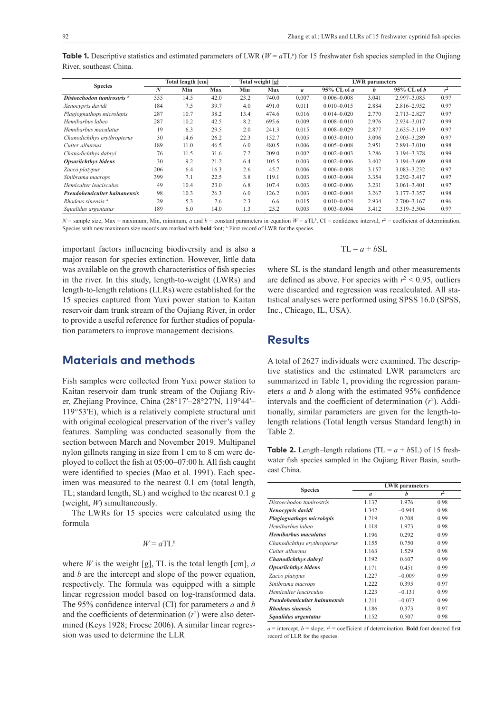| <b>Species</b>               | Total length [cm] |      |      | Total weight [g] |       | <b>LWR</b> parameters |                 |       |                 |                |
|------------------------------|-------------------|------|------|------------------|-------|-----------------------|-----------------|-------|-----------------|----------------|
|                              | N                 | Min  | Max  | Min              | Max   | $\mathfrak{a}$        | 95% CL of a     | h     | $95\%$ CL of b  | r <sup>2</sup> |
| Distoechodon tumirostris A   | 555               | 14.5 | 42.0 | 23.2             | 740.0 | 0.007                 | $0.006 - 0.008$ | 3.041 | 2.997-3.085     | 0.97           |
| Xenocypris davidi            | 184               | 7.5  | 39.7 | 4.0              | 491.0 | 0.011                 | $0.010 - 0.015$ | 2.884 | 2.816-2.952     | 0.97           |
| Plagiognathops microlepis    | 287               | 10.7 | 38.2 | 13.4             | 474.6 | 0.016                 | $0.014 - 0.020$ | 2.770 | 2.713-2.827     | 0.97           |
| Hemibarbus labeo             | 287               | 10.2 | 42.5 | 8.2              | 695.6 | 0.009                 | $0.008 - 0.010$ | 2.976 | 2.934-3.017     | 0.99           |
| Hemibarbus maculatus         | 19                | 6.3  | 29.5 | 2.0              | 241.3 | 0.015                 | $0.008 - 0.029$ | 2.877 | $2.635 - 3.119$ | 0.97           |
| Chanodichthys erythropterus  | 30                | 14.6 | 26.2 | 22.3             | 152.7 | 0.005                 | $0.003 - 0.010$ | 3.096 | 2.903-3.289     | 0.97           |
| Culter alburnus              | 189               | 11.0 | 46.5 | 6.0              | 480.5 | 0.006                 | $0.005 - 0.008$ | 2.951 | $2.891 - 3.010$ | 0.98           |
| Chanodichthys dabryi         | 76                | 11.5 | 31.6 | 7.2              | 209.0 | 0.002                 | $0.002 - 0.003$ | 3.286 | 3.194-3.378     | 0.99           |
| <b>Opsariichthys bidens</b>  | 30                | 9.2  | 21.2 | 6.4              | 105.5 | 0.003                 | $0.002 - 0.006$ | 3.402 | 3.194-3.609     | 0.98           |
| Zacco platypus               | 206               | 6.4  | 16.3 | 2.6              | 45.7  | 0.006                 | $0.006 - 0.008$ | 3.157 | 3.083-3.232     | 0.97           |
| Sinibrama macrops            | 399               | 7.1  | 22.5 | 3.8              | 119.1 | 0.003                 | $0.003 - 0.004$ | 3.354 | $3.292 - 3.417$ | 0.97           |
| Hemiculter leucisculus       | 49                | 10.4 | 23.0 | 6.8              | 107.4 | 0.003                 | $0.002 - 0.006$ | 3.231 | $3.061 - 3.401$ | 0.97           |
| Pseudohemiculter hainanensis | 98                | 10.3 | 26.3 | 6.0              | 126.2 | 0.003                 | $0.002 - 0.004$ | 3.267 | 3.177-3.357     | 0.98           |
| Rhodeus sinensis A           | 29                | 5.3  | 7.6  | 2.3              | 6.6   | 0.015                 | $0.010 - 0.024$ | 2.934 | $2.700 - 3.167$ | 0.96           |
| Squalidus argentatus         | 189               | 6.0  | 14.0 | 1.3              | 25.2  | 0.003                 | $0.003 - 0.004$ | 3.412 | 3.319 - 3.504   | 0.97           |

**Table 1.** Descriptive statistics and estimated parameters of LWR ( $W = aTL<sup>b</sup>$ ) for 15 freshwater fish species sampled in the Oujiang River, southeast China.

 $N =$  sample size, Max = maximum, Min, minimum, *a* and  $b =$  constant parameters in equation  $W = aTL<sup>b</sup>$ , CI = confidence interval,  $r<sup>2</sup> =$  coefficient of determination. Species with new maximum size records are marked with **bold** font; <sup>A</sup> First record of LWR for the species.

important factors influencing biodiversity and is also a major reason for species extinction. However, little data was available on the growth characteristics of fish species in the river. In this study, length-to-weight (LWRs) and length-to-length relations (LLRs) were established for the 15 species captured from Yuxi power station to Kaitan reservoir dam trunk stream of the Oujiang River, in order to provide a useful reference for further studies of population parameters to improve management decisions.

#### **Materials and methods**

Fish samples were collected from Yuxi power station to Kaitan reservoir dam trunk stream of the Oujiang River, Zhejiang Province, China (28°17′–28°27′N, 119°44′– 119°53′E), which is a relatively complete structural unit with original ecological preservation of the river's valley features. Sampling was conducted seasonally from the section between March and November 2019. Multipanel nylon gillnets ranging in size from 1 cm to 8 cm were deployed to collect the fish at 05:00–07:00 h. All fish caught were identified to species (Mao et al. 1991). Each specimen was measured to the nearest 0.1 cm (total length, TL; standard length, SL) and weighed to the nearest 0.1 g (weight, *W*) simultaneously.

The LWRs for 15 species were calculated using the formula

#### $W = aTL^b$

where  $W$  is the weight [g], TL is the total length [cm],  $a$ and *b* are the intercept and slope of the power equation, respectively. The formula was equipped with a simple linear regression model based on log-transformed data. The 95% confidence interval (CI) for parameters *a* and *b* and the coefficients of determination  $(r^2)$  were also determined (Keys 1928; Froese 2006). A similar linear regression was used to determine the LLR

#### $TL = a + bSL$

where SL is the standard length and other measurements are defined as above. For species with  $r^2$  < 0.95, outliers were discarded and regression was recalculated. All statistical analyses were performed using SPSS 16.0 (SPSS, Inc., Chicago, IL, USA).

### **Results**

A total of 2627 individuals were examined. The descriptive statistics and the estimated LWR parameters are summarized in Table 1, providing the regression parameters *a* and *b* along with the estimated 95% confidence intervals and the coefficient of determination  $(r^2)$ . Additionally, similar parameters are given for the length-tolength relations (Total length versus Standard length) in Table 2.

**Table 2.** Length–length relations (TL =  $a + b$ SL) of 15 freshwater fish species sampled in the Oujiang River Basin, southeast China.

|                              | <b>LWR</b> parameters |          |                |  |  |
|------------------------------|-----------------------|----------|----------------|--|--|
| <b>Species</b>               | $\mathfrak a$         | h        | r <sup>2</sup> |  |  |
| Distoechodon tumirostris     | 1.137                 | 1.976    | 0.98           |  |  |
| Xenocypris davidi            | 1.342                 | $-0.944$ | 0.98           |  |  |
| Plagiognathops microlepis    | 1.219                 | 0.208    | 0.99           |  |  |
| Hemibarbus labeo             | 1.118                 | 1.973    | 0.98           |  |  |
| <b>Hemibarbus maculatus</b>  | 1.196                 | 0.292    | 0.99           |  |  |
| Chanodichthys erythropterus  | 1.155                 | 0.750    | 0.99           |  |  |
| Culter alburnus              | 1.163                 | 1.529    | 0.98           |  |  |
| Chanodichthys dabryi         | 1.192                 | 0.607    | 0.99           |  |  |
| <b>Opsariichthys bidens</b>  | 1.171                 | 0.451    | 0.99           |  |  |
| Zacco platypus               | 1.227                 | $-0.009$ | 0.99           |  |  |
| Sinibrama macrops            | 1.222                 | 0.395    | 0.97           |  |  |
| Hemiculter leucisculus       | 1.223                 | $-0.131$ | 0.99           |  |  |
| Pseudohemiculter hainanensis | 1.211                 | $-0.073$ | 0.99           |  |  |
| <b>Rhodeus sinensis</b>      | 1.186                 | 0.373    | 0.97           |  |  |
| Squalidus argentatus         | 1.152                 | 0.507    | 0.98           |  |  |

 $a =$  intercept,  $b =$  slope;  $r^2 =$  coefficient of determination. **Bold** font denoted first record of LLR for the species.